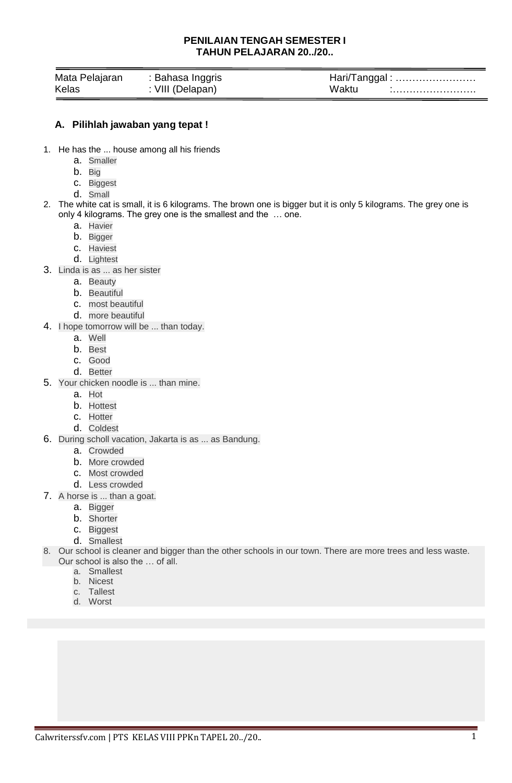## **PENILAIAN TENGAH SEMESTER I TAHUN PELAJARAN 20../20..**

| Mata Pelajaran | :Bahasa Inggris  | Hari/Tanggal: |
|----------------|------------------|---------------|
| Kelas          | : VIII (Delapan) | Waktu         |

## **A. Pilihlah jawaban yang tepat !**

- 1. He has the ... house among all his friends
	- a. Smaller
	- b. Big
	- c. Biggest
	- d. Small
- 2. The white cat is small, it is 6 kilograms. The brown one is bigger but it is only 5 kilograms. The grey one is only 4 kilograms. The grey one is the smallest and the … one.
	- a. Havier
	- b. Bigger
	- c. Haviest
	- d. Lightest
- 3. Linda is as ... as her sister
	- a. Beauty
	- b. Beautiful
	- c. most beautiful
	- d. more beautiful
- 4. I hope tomorrow will be ... than today.
	- a. Well
	- b. Best
	- c. Good
	- d. Better
- 5. Your chicken noodle is ... than mine.
	- a. Hot
	- b. Hottest
	- c. Hotter
	- d. Coldest
- 6. During scholl vacation, Jakarta is as ... as Bandung.
	- a. Crowded
	- b. More crowded
	- c. Most crowded
	- d. Less crowded
- 7. A horse is ... than a goat.
	- a. Bigger
	- b. Shorter
	- c. Biggest
	- d. Smallest
- 8. Our school is cleaner and bigger than the other schools in our town. There are more trees and less waste. Our school is also the … of all.
	- a. Smallest
	- b. Nicest
	- c. Tallest
	- d. Worst